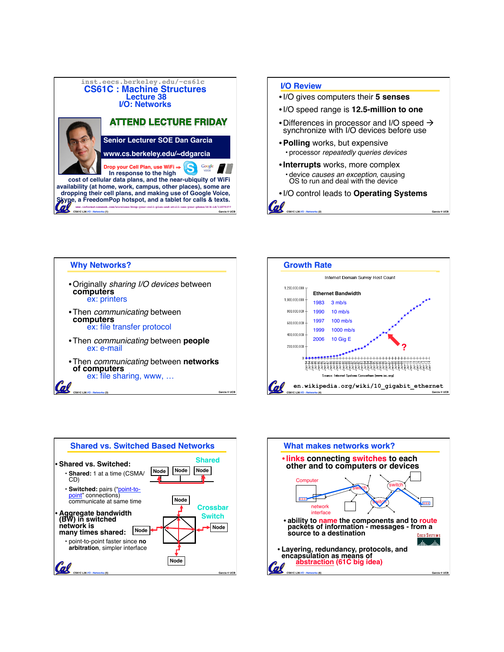



**CS61C L36 I/O : Networks (2) Garcia © UCB**







**CS61C L36 I/O : Networks (3) Garcia © UCB**

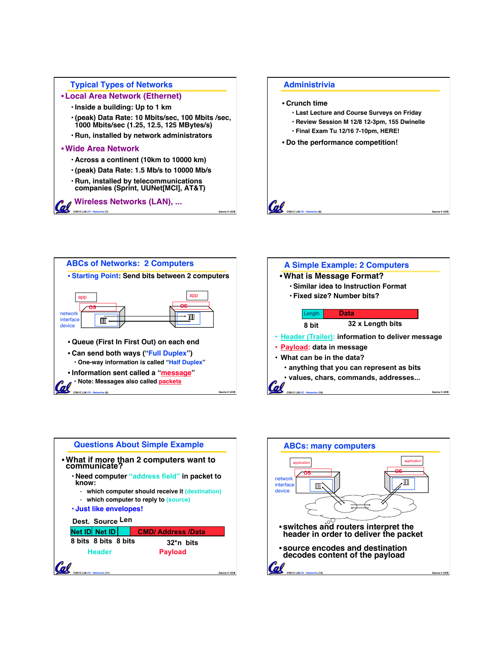







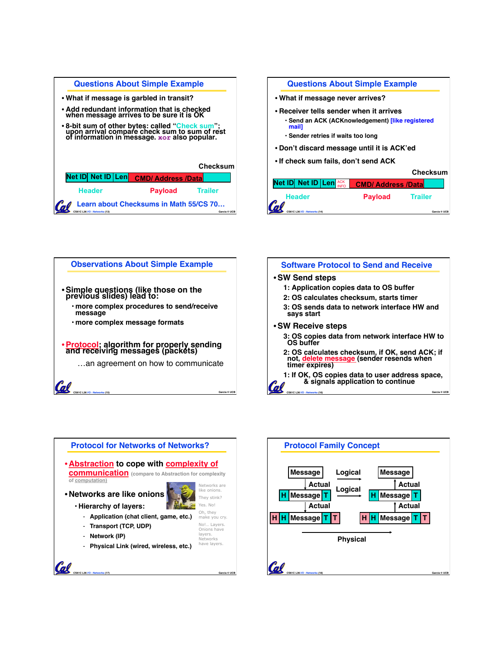| <b>Questions About Simple Example</b>                                                                                                            |                          |                 |
|--------------------------------------------------------------------------------------------------------------------------------------------------|--------------------------|-----------------|
| . What if message is garbled in transit?                                                                                                         |                          |                 |
| • Add redundant information that is checked<br>when message arrives to be sure it is OK                                                          |                          |                 |
| • 8-bit sum of other bytes: called "Check sum";<br>upon arrival compare check sum to sum of rest<br>of information in message. xor also popular. |                          |                 |
|                                                                                                                                                  |                          | <b>Checksum</b> |
| <b>Net ID Net ID Len</b>                                                                                                                         | <b>CMD/Address/Datal</b> |                 |
| <b>Header</b>                                                                                                                                    | Payload                  | <b>Trailer</b>  |
| Learn about Checksums in Math 55/CS 70<br>Garcia © UCR                                                                                           |                          |                 |